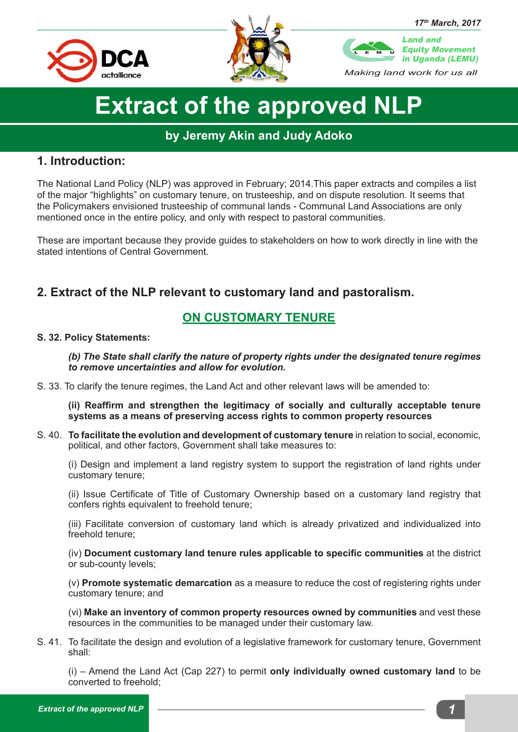



*17th March, 2017 Making land work for us all* Land and Equity Movement in Uganda (LEMU) L E M U

# **Extract of the approved NLP**

## **by Jeremy Akin and Judy Adoko**

## **1. Introduction:**

The National Land Policy (NLP) was approved in February; 2014.This paper extracts and compiles a list of the major "highlights" on customary tenure, on trusteeship, and on dispute resolution. It seems that the Policymakers envisioned trusteeship of communal lands - Communal Land Associations are only mentioned once in the entire policy, and only with respect to pastoral communities.

These are important because they provide guides to stakeholders on how to work directly in line with the stated intentions of Central Government.

# **2. Extract of the NLP relevant to customary land and pastoralism.**

# **ON CUSTOMARY TENURE**

#### **S. 32. Policy Statements:**

*(b) The State shall clarify the nature of property rights under the designated tenure regimes to remove uncertainties and allow for evolution.*

S. 33. To clarify the tenure regimes, the Land Act and other relevant laws will be amended to:

**(ii) Reaffirm and strengthen the legitimacy of socially and culturally acceptable tenure systems as a means of preserving access rights to common property resources** 

S. 40. **To facilitate the evolution and development of customary tenure** in relation to social, economic, political, and other factors, Government shall take measures to:

(i) Design and implement a land registry system to support the registration of land rights under customary tenure;

(ii) Issue Certificate of Title of Customary Ownership based on a customary land registry that confers rights equivalent to freehold tenure;

(iii) Facilitate conversion of customary land which is already privatized and individualized into freehold tenure;

(iv) **Document customary land tenure rules applicable to specific communities** at the district or sub-county levels;

(v) **Promote systematic demarcation** as a measure to reduce the cost of registering rights under customary tenure; and

(vi) **Make an inventory of common property resources owned by communities** and vest these resources in the communities to be managed under their customary law.

S. 41. To facilitate the design and evolution of a legislative framework for customary tenure, Government shall:

(i) – Amend the Land Act (Cap 227) to permit **only individually owned customary land** to be converted to freehold;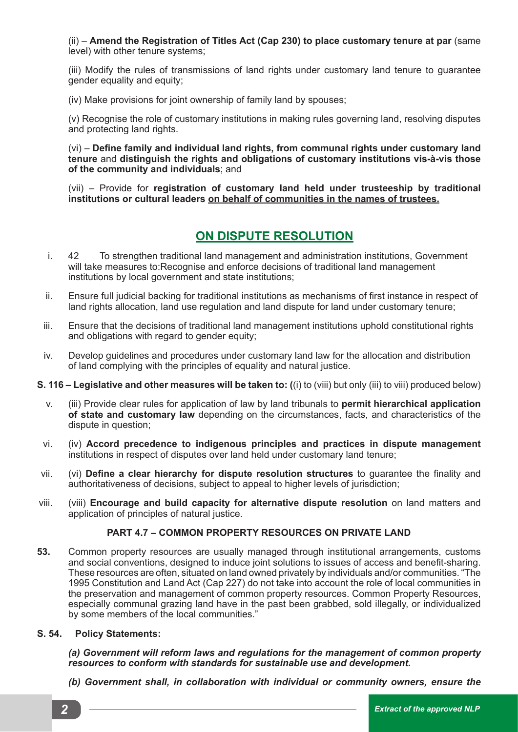(ii) – **Amend the Registration of Titles Act (Cap 230) to place customary tenure at par** (same level) with other tenure systems;

(iii) Modify the rules of transmissions of land rights under customary land tenure to guarantee gender equality and equity;

(iv) Make provisions for joint ownership of family land by spouses;

(v) Recognise the role of customary institutions in making rules governing land, resolving disputes and protecting land rights.

(vi) – **Define family and individual land rights, from communal rights under customary land tenure** and **distinguish the rights and obligations of customary institutions vis-à-vis those of the community and individuals**; and

(vii) – Provide for **registration of customary land held under trusteeship by traditional institutions or cultural leaders on behalf of communities in the names of trustees.**

### **ON DISPUTE RESOLUTION**

- i. 42 To strengthen traditional land management and administration institutions, Government will take measures to:Recognise and enforce decisions of traditional land management institutions by local government and state institutions;
- ii. Ensure full judicial backing for traditional institutions as mechanisms of first instance in respect of land rights allocation, land use regulation and land dispute for land under customary tenure;
- iii. Ensure that the decisions of traditional land management institutions uphold constitutional rights and obligations with regard to gender equity;
- iv. Develop guidelines and procedures under customary land law for the allocation and distribution of land complying with the principles of equality and natural justice.
- **S. 116 Legislative and other measures will be taken to: (**(i) to (viii) but only (iii) to viii) produced below)
	- v. (iii) Provide clear rules for application of law by land tribunals to **permit hierarchical application of state and customary law** depending on the circumstances, facts, and characteristics of the dispute in question;
	- vi. (iv) **Accord precedence to indigenous principles and practices in dispute management**  institutions in respect of disputes over land held under customary land tenure;
- vii. (vi) **Define a clear hierarchy for dispute resolution structures** to guarantee the finality and authoritativeness of decisions, subject to appeal to higher levels of jurisdiction;
- viii. (viii) **Encourage and build capacity for alternative dispute resolution** on land matters and application of principles of natural justice.

#### **PART 4.7 – COMMON PROPERTY RESOURCES ON PRIVATE LAND**

**53.** Common property resources are usually managed through institutional arrangements, customs and social conventions, designed to induce joint solutions to issues of access and benefit-sharing. These resources are often, situated on land owned privately by individuals and/or communities. "The 1995 Constitution and Land Act (Cap 227) do not take into account the role of local communities in the preservation and management of common property resources. Common Property Resources, especially communal grazing land have in the past been grabbed, sold illegally, or individualized by some members of the local communities."

#### **S. 54. Policy Statements:**

*(a) Government will reform laws and regulations for the management of common property resources to conform with standards for sustainable use and development.*

*(b) Government shall, in collaboration with individual or community owners, ensure the*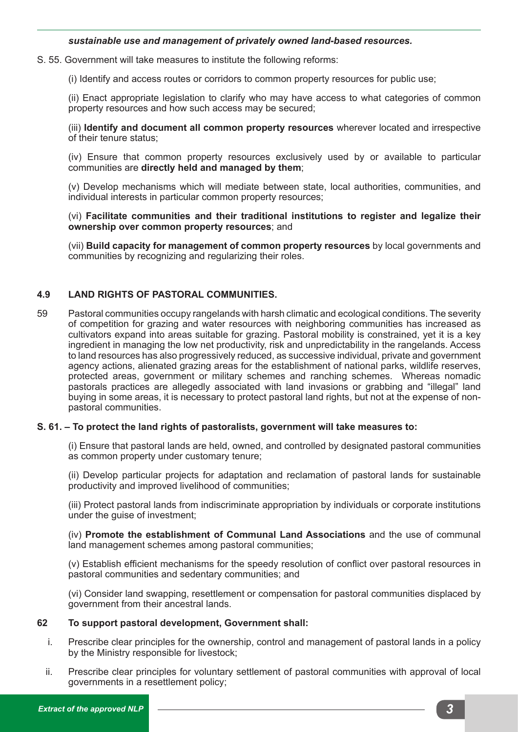#### *sustainable use and management of privately owned land-based resources.*

S. 55. Government will take measures to institute the following reforms:

(i) Identify and access routes or corridors to common property resources for public use;

(ii) Enact appropriate legislation to clarify who may have access to what categories of common property resources and how such access may be secured;

(iii) **Identify and document all common property resources** wherever located and irrespective of their tenure status;

(iv) Ensure that common property resources exclusively used by or available to particular communities are **directly held and managed by them**;

(v) Develop mechanisms which will mediate between state, local authorities, communities, and individual interests in particular common property resources;

(vi) **Facilitate communities and their traditional institutions to register and legalize their ownership over common property resources**; and

(vii) **Build capacity for management of common property resources** by local governments and communities by recognizing and regularizing their roles.

#### **4.9 LAND RIGHTS OF PASTORAL COMMUNITIES.**

59 Pastoral communities occupy rangelands with harsh climatic and ecological conditions. The severity of competition for grazing and water resources with neighboring communities has increased as cultivators expand into areas suitable for grazing. Pastoral mobility is constrained, yet it is a key ingredient in managing the low net productivity, risk and unpredictability in the rangelands. Access to land resources has also progressively reduced, as successive individual, private and government agency actions, alienated grazing areas for the establishment of national parks, wildlife reserves, protected areas, government or military schemes and ranching schemes. Whereas nomadic pastorals practices are allegedly associated with land invasions or grabbing and "illegal" land buying in some areas, it is necessary to protect pastoral land rights, but not at the expense of nonpastoral communities.

#### **S. 61. – To protect the land rights of pastoralists, government will take measures to:**

(i) Ensure that pastoral lands are held, owned, and controlled by designated pastoral communities as common property under customary tenure;

(ii) Develop particular projects for adaptation and reclamation of pastoral lands for sustainable productivity and improved livelihood of communities;

(iii) Protect pastoral lands from indiscriminate appropriation by individuals or corporate institutions under the guise of investment;

(iv) **Promote the establishment of Communal Land Associations** and the use of communal land management schemes among pastoral communities;

(v) Establish efficient mechanisms for the speedy resolution of conflict over pastoral resources in pastoral communities and sedentary communities; and

(vi) Consider land swapping, resettlement or compensation for pastoral communities displaced by government from their ancestral lands.

#### **62 To support pastoral development, Government shall:**

- i. Prescribe clear principles for the ownership, control and management of pastoral lands in a policy by the Ministry responsible for livestock;
- ii. Prescribe clear principles for voluntary settlement of pastoral communities with approval of local governments in a resettlement policy;